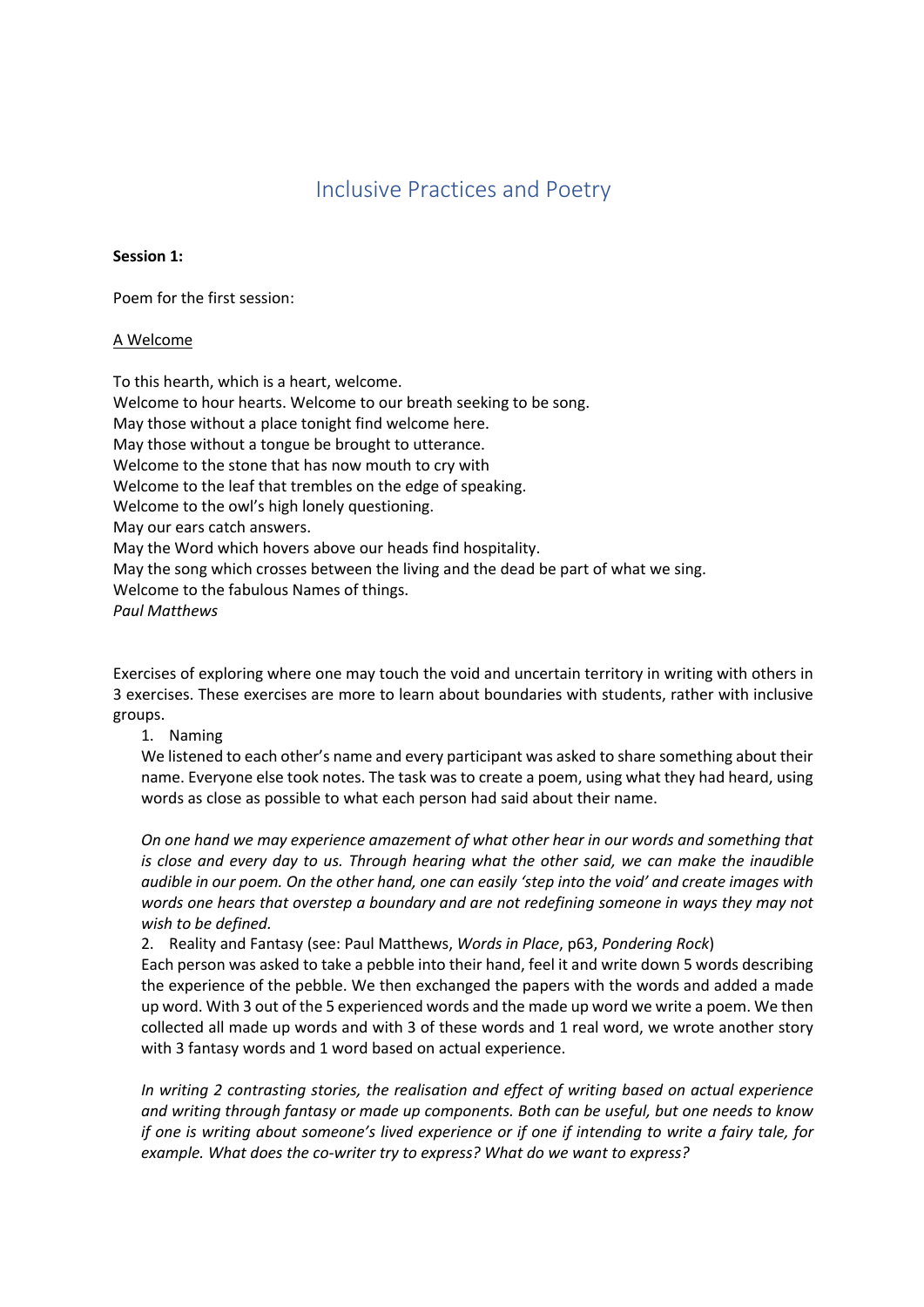# Inclusive Practices and Poetry

## **Session 1:**

Poem for the first session:

## A Welcome

To this hearth, which is a heart, welcome. Welcome to hour hearts. Welcome to our breath seeking to be song. May those without a place tonight find welcome here. May those without a tongue be brought to utterance. Welcome to the stone that has now mouth to cry with Welcome to the leaf that trembles on the edge of speaking. Welcome to the owl's high lonely questioning. May our ears catch answers. May the Word which hovers above our heads find hospitality. May the song which crosses between the living and the dead be part of what we sing. Welcome to the fabulous Names of things. *Paul Matthews*

Exercises of exploring where one may touch the void and uncertain territory in writing with others in 3 exercises. These exercises are more to learn about boundaries with students, rather with inclusive groups.

# 1. Naming

We listened to each other's name and every participant was asked to share something about their name. Everyone else took notes. The task was to create a poem, using what they had heard, using words as close as possible to what each person had said about their name.

*On one hand we may experience amazement of what other hear in our words and something that is close and every day to us. Through hearing what the other said, we can make the inaudible audible in our poem. On the other hand, one can easily 'step into the void' and create images with words one hears that overstep a boundary and are not redefining someone in ways they may not wish to be defined.*

2. Reality and Fantasy (see: Paul Matthews, *Words in Place*, p63, *Pondering Rock*) Each person was asked to take a pebble into their hand, feel it and write down 5 words describing the experience of the pebble. We then exchanged the papers with the words and added a made up word. With 3 out of the 5 experienced words and the made up word we write a poem. We then collected all made up words and with 3 of these words and 1 real word, we wrote another story

with 3 fantasy words and 1 word based on actual experience.

*In writing 2 contrasting stories, the realisation and effect of writing based on actual experience and writing through fantasy or made up components. Both can be useful, but one needs to know if one is writing about someone's lived experience or if one if intending to write a fairy tale, for example. What does the co-writer try to express? What do we want to express?*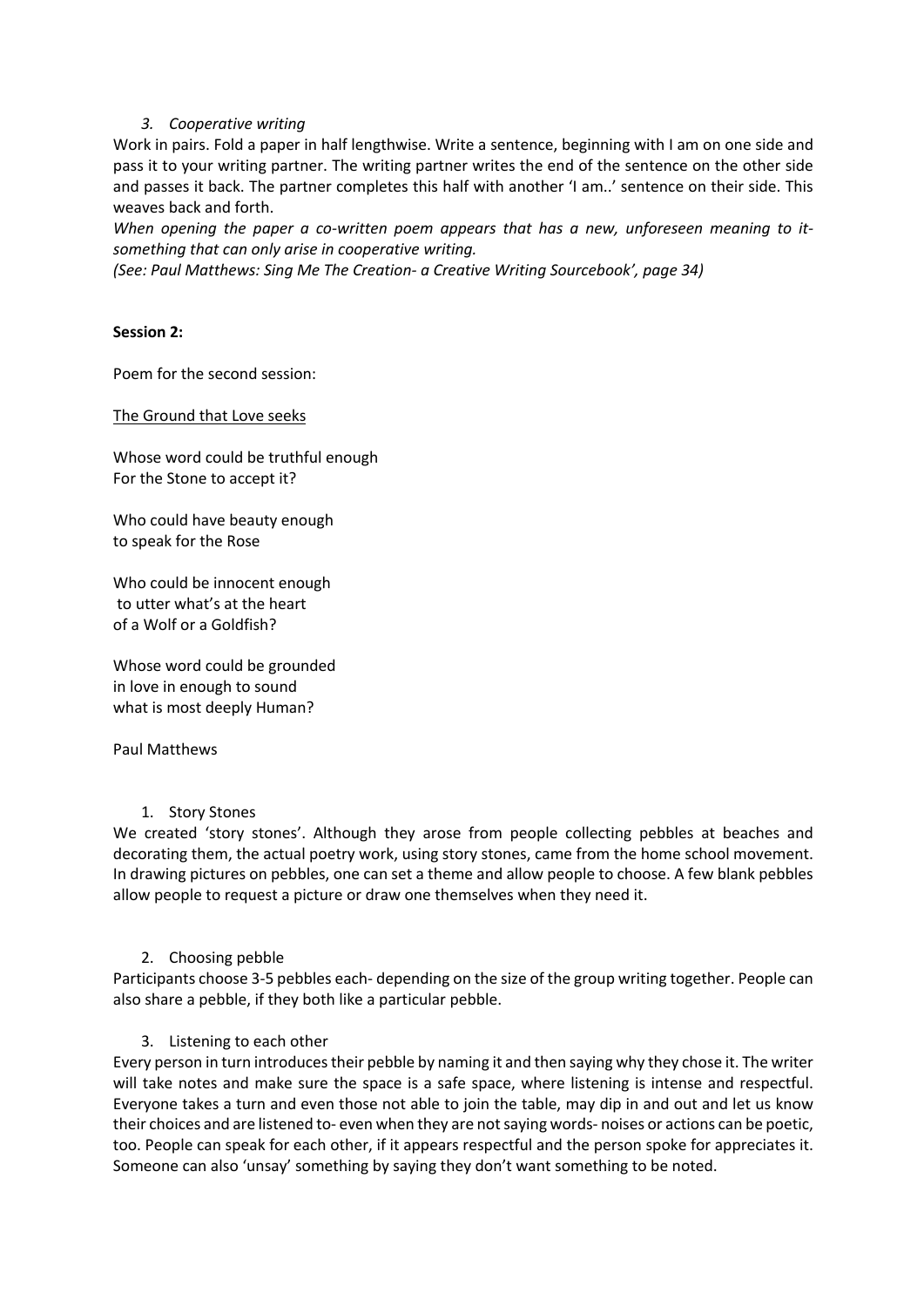### *3. Cooperative writing*

Work in pairs. Fold a paper in half lengthwise. Write a sentence, beginning with I am on one side and pass it to your writing partner. The writing partner writes the end of the sentence on the other side and passes it back. The partner completes this half with another 'I am..' sentence on their side. This weaves back and forth.

*When opening the paper a co-written poem appears that has a new, unforeseen meaning to itsomething that can only arise in cooperative writing.* 

*(See: Paul Matthews: Sing Me The Creation- a Creative Writing Sourcebook', page 34)*

### **Session 2:**

Poem for the second session:

#### The Ground that Love seeks

Whose word could be truthful enough For the Stone to accept it?

Who could have beauty enough to speak for the Rose

Who could be innocent enough to utter what's at the heart of a Wolf or a Goldfish?

Whose word could be grounded in love in enough to sound what is most deeply Human?

Paul Matthews

### 1. Story Stones

We created 'story stones'. Although they arose from people collecting pebbles at beaches and decorating them, the actual poetry work, using story stones, came from the home school movement. In drawing pictures on pebbles, one can set a theme and allow people to choose. A few blank pebbles allow people to request a picture or draw one themselves when they need it.

2. Choosing pebble

Participants choose 3-5 pebbles each- depending on the size of the group writing together. People can also share a pebble, if they both like a particular pebble.

### 3. Listening to each other

Every person in turn introduces their pebble by naming it and then saying why they chose it. The writer will take notes and make sure the space is a safe space, where listening is intense and respectful. Everyone takes a turn and even those not able to join the table, may dip in and out and let us know their choices and are listened to- even when they are not saying words- noises or actions can be poetic, too. People can speak for each other, if it appears respectful and the person spoke for appreciates it. Someone can also 'unsay' something by saying they don't want something to be noted.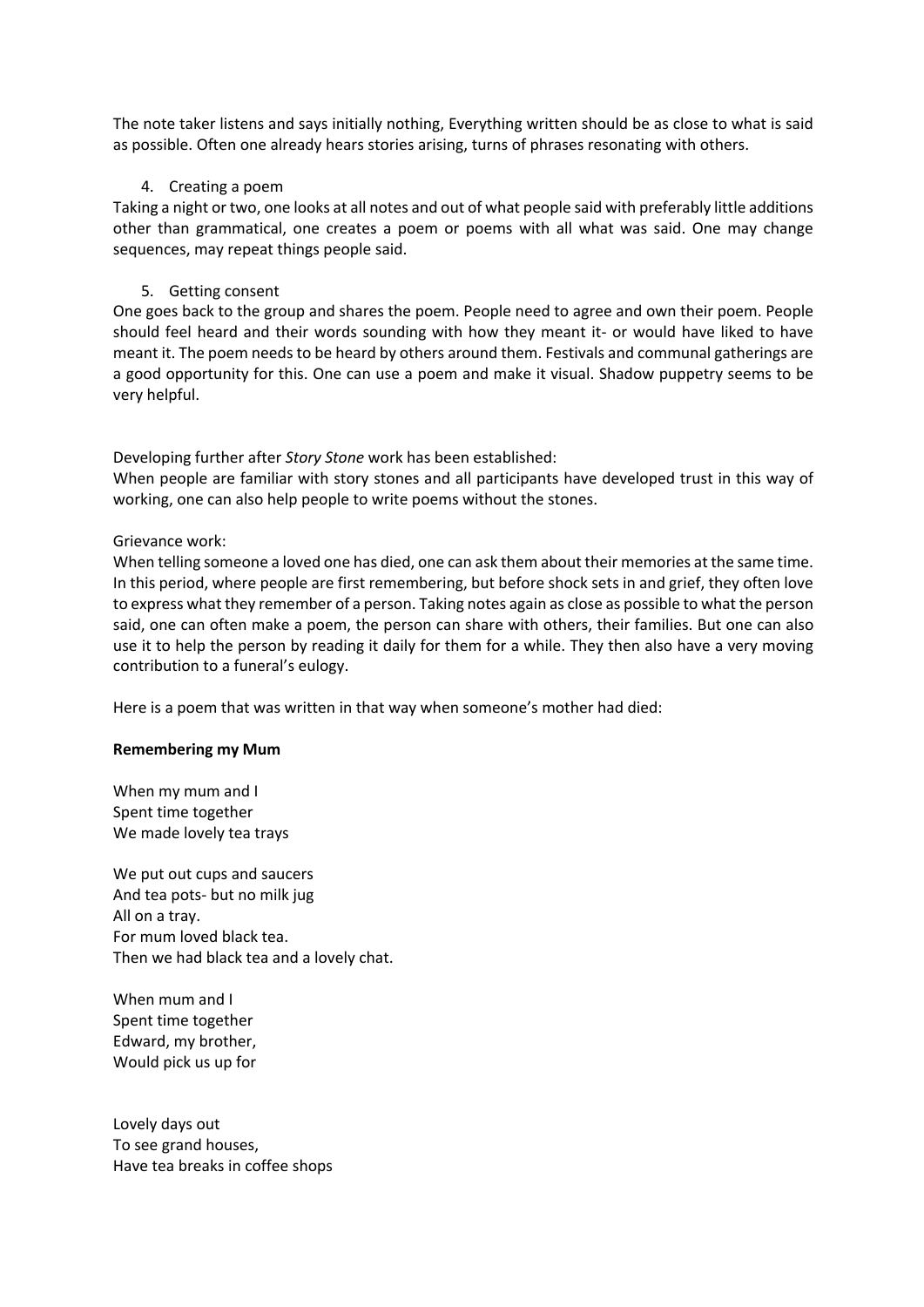The note taker listens and says initially nothing, Everything written should be as close to what is said as possible. Often one already hears stories arising, turns of phrases resonating with others.

## 4. Creating a poem

Taking a night or two, one looks at all notes and out of what people said with preferably little additions other than grammatical, one creates a poem or poems with all what was said. One may change sequences, may repeat things people said.

## 5. Getting consent

One goes back to the group and shares the poem. People need to agree and own their poem. People should feel heard and their words sounding with how they meant it- or would have liked to have meant it. The poem needs to be heard by others around them. Festivals and communal gatherings are a good opportunity for this. One can use a poem and make it visual. Shadow puppetry seems to be very helpful.

Developing further after *Story Stone* work has been established:

When people are familiar with story stones and all participants have developed trust in this way of working, one can also help people to write poems without the stones.

Grievance work:

When telling someone a loved one has died, one can ask them about their memories at the same time. In this period, where people are first remembering, but before shock sets in and grief, they often love to express what they remember of a person. Taking notes again as close as possible to what the person said, one can often make a poem, the person can share with others, their families. But one can also use it to help the person by reading it daily for them for a while. They then also have a very moving contribution to a funeral's eulogy.

Here is a poem that was written in that way when someone's mother had died:

### **Remembering my Mum**

When my mum and I Spent time together We made lovely tea trays

We put out cups and saucers And tea pots- but no milk jug All on a tray. For mum loved black tea. Then we had black tea and a lovely chat.

When mum and I Spent time together Edward, my brother, Would pick us up for

Lovely days out To see grand houses, Have tea breaks in coffee shops